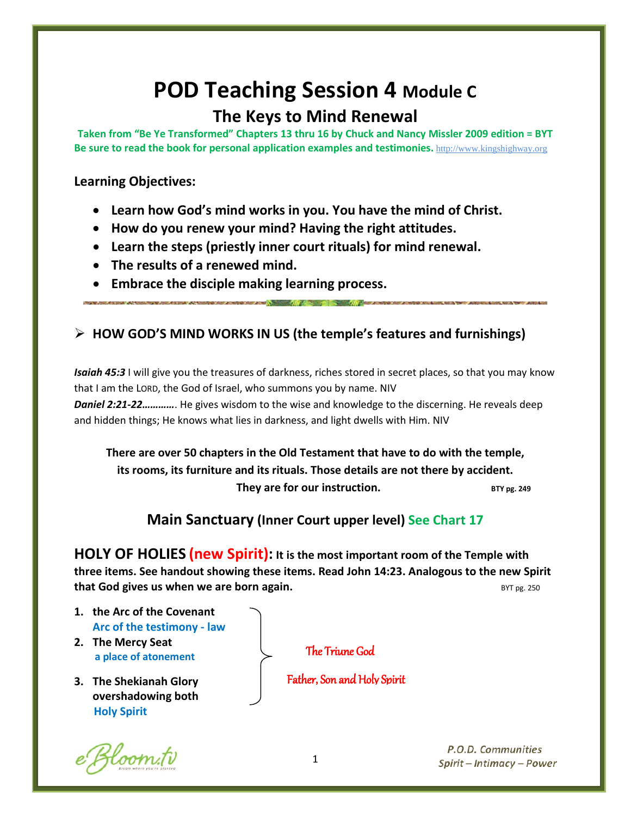# **POD Teaching Session 4 Module C**

# **The Keys to Mind Renewal**

**Taken from "Be Ye Transformed" Chapters 13 thru 16 by Chuck and Nancy Missler 2009 edition = BYT Be sure to read the book for personal application examples and testimonies.** [http://www.kingshighway.org](http://www.kingshighway.org/)

#### **Learning Objectives:**

- **Learn how God's mind works in you. You have the mind of Christ.**
- **How do you renew your mind? Having the right attitudes.**
- **Learn the steps (priestly inner court rituals) for mind renewal.**
- **The results of a renewed mind.**
- **Embrace the disciple making learning process.**

### **HOW GOD'S MIND WORKS IN US (the temple's features and furnishings)**

*Isaiah 45:3* I will give you the treasures of darkness, riches stored in secret places, so that you may know that I am the LORD, the God of Israel, who summons you by name. NIV *Daniel 2:21-22…………*. He gives wisdom to the wise and knowledge to the discerning. He reveals deep and hidden things; He knows what lies in darkness, and light dwells with Him. NIV

**There are over 50 chapters in the Old Testament that have to do with the temple, its rooms, its furniture and its rituals. Those details are not there by accident. They are for our instruction.** BTY pg. 249

## **Main Sanctuary (Inner Court upper level) See Chart 17**

**HOLY OF HOLIES (new Spirit): It is the most important room of the Temple with three items. See handout showing these items. Read John 14:23. Analogous to the new Spirit that God gives us when we are born again. BYT pg. 250 BYT pg. 250** 

- **1. the Arc of the Covenant Arc of the testimony - law**
- **2. The Mercy Seat a place of atonement**
- **3. The Shekianah Glory overshadowing both Holy Spirit**

Bloom.tv

The Triune God

Father, Son and Holy Spirit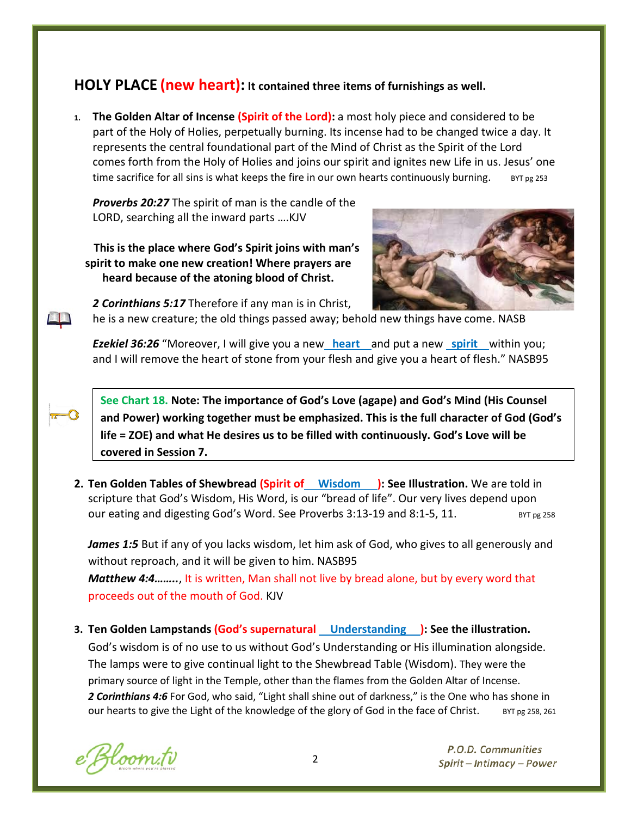## **HOLY PLACE (new heart): It contained three items of furnishings as well.**

**1. The Golden Altar of Incense (Spirit of the Lord):** a most holy piece and considered to be part of the Holy of Holies, perpetually burning. Its incense had to be changed twice a day. It represents the central foundational part of the Mind of Christ as the Spirit of the Lord comes forth from the Holy of Holies and joins our spirit and ignites new Life in us. Jesus' one time sacrifice for all sins is what keeps the fire in our own hearts continuously burning.  $BST_{pg}$  253

*Proverbs 20:27* The spirit of man is the candle of the LORD, searching all the inward parts ….KJV

 **This is the place where God's Spirit joins with man's spirit to make one new creation! Where prayers are heard because of the atoning blood of Christ.**



*2 Corinthians 5:17* Therefore if any man is in Christ,

he is a new creature; the old things passed away; behold new things have come. NASB

*Ezekiel 36:26* "Moreover, I will give you a new **heart** and put a new **spirit** within you; and I will remove the heart of stone from your flesh and give you a heart of flesh." NASB95

**See Chart 18. Note: The importance of God's Love (agape) and God's Mind (His Counsel and Power) working together must be emphasized. This is the full character of God (God's life = ZOE) and what He desires us to be filled with continuously. God's Love will be covered in Session 7.**

**2. Ten Golden Tables of Shewbread (Spirit of Wisdom ): See Illustration.** We are told in scripture that God's Wisdom, His Word, is our "bread of life". Our very lives depend upon our eating and digesting God's Word. See Proverbs  $3:13-19$  and  $8:1-5$ ,  $11$ . BYT pg 258

James 1:5 But if any of you lacks wisdom, let him ask of God, who gives to all generously and without reproach, and it will be given to him. NASB95 *Matthew 4:4……..*, It is written, Man shall not live by bread alone, but by every word that proceeds out of the mouth of God. KJV

**3. Ten Golden Lampstands (God's supernatural Understanding ): See the illustration.** 

God's wisdom is of no use to us without God's Understanding or His illumination alongside. The lamps were to give continual light to the Shewbread Table (Wisdom). They were the primary source of light in the Temple, other than the flames from the Golden Altar of Incense. *2 Corinthians 4:6* For God, who said, "Light shall shine out of darkness," is the One who has shone in our hearts to give the Light of the knowledge of the glory of God in the face of Christ.  $B_{\text{YD}}$   $B_{\text{Z}}$   $B_{\text{X}}$   $B_{\text{X}}$   $B_{\text{Y}}$   $B_{\text{Y}}$   $B_{\text{Y}}$   $B_{\text{Y}}$   $B_{\text{Y}}$   $B_{\text{Y}}$   $B_{\text{Y}}$   $B_{\text{Y}}$   $B_{\text{Y}}$ 

Bloom.tv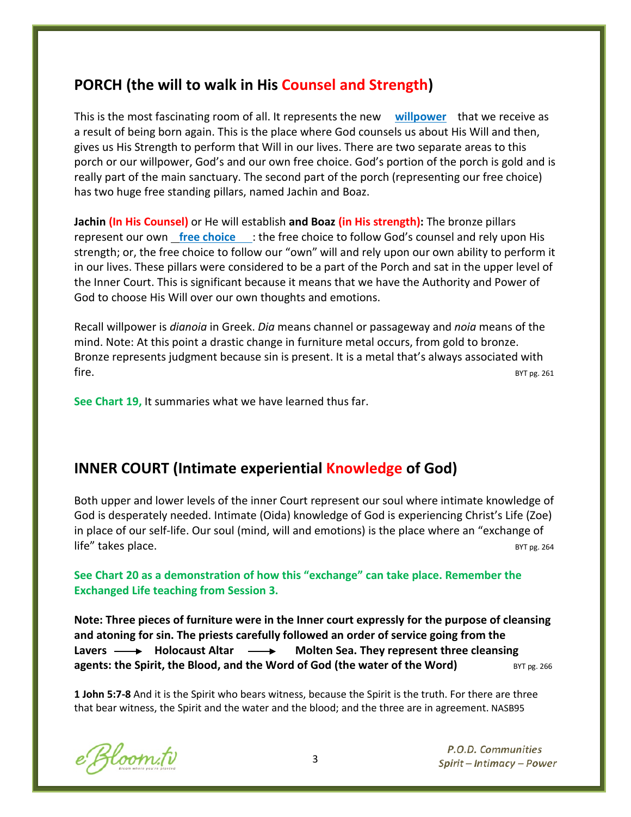## **PORCH (the will to walk in His Counsel and Strength)**

This is the most fascinating room of all. It represents the new **willpower** that we receive as a result of being born again. This is the place where God counsels us about His Will and then, gives us His Strength to perform that Will in our lives. There are two separate areas to this porch or our willpower, God's and our own free choice. God's portion of the porch is gold and is really part of the main sanctuary. The second part of the porch (representing our free choice) has two huge free standing pillars, named Jachin and Boaz.

**Jachin (In His Counsel)** or He will establish **and Boaz (in His strength):** The bronze pillars represent our own **free choice** : the free choice to follow God's counsel and rely upon His strength; or, the free choice to follow our "own" will and rely upon our own ability to perform it in our lives. These pillars were considered to be a part of the Porch and sat in the upper level of the Inner Court. This is significant because it means that we have the Authority and Power of God to choose His Will over our own thoughts and emotions.

Recall willpower is *dianoia* in Greek. *Dia* means channel or passageway and *noia* means of the mind. Note: At this point a drastic change in furniture metal occurs, from gold to bronze. Bronze represents judgment because sin is present. It is a metal that's always associated with  $fire.$ 

**See Chart 19,** It summaries what we have learned thus far.

#### **INNER COURT (Intimate experiential Knowledge of God)**

Both upper and lower levels of the inner Court represent our soul where intimate knowledge of God is desperately needed. Intimate (Oida) knowledge of God is experiencing Christ's Life (Zoe) in place of our self-life. Our soul (mind, will and emotions) is the place where an "exchange of life" takes place. The set of the set of the set of the set of the set of the set of the set of the set of the set of the set of the set of the set of the set of the set of the set of the set of the set of the set of the s

**See Chart 20 as a demonstration of how this "exchange" can take place. Remember the Exchanged Life teaching from Session 3.**

**Note: Three pieces of furniture were in the Inner court expressly for the purpose of cleansing and atoning for sin. The priests carefully followed an order of service going from the**  Lavers **- S** Holocaust Altar **- S** Molten Sea. They represent three cleansing **agents: the Spirit, the Blood, and the Word of God (the water of the Word)** BYT pg. 266

**1 John 5:7-8** And it is the Spirit who bears witness, because the Spirit is the truth. For there are three that bear witness, the Spirit and the water and the blood; and the three are in agreement. NASB95

e Bloom.tv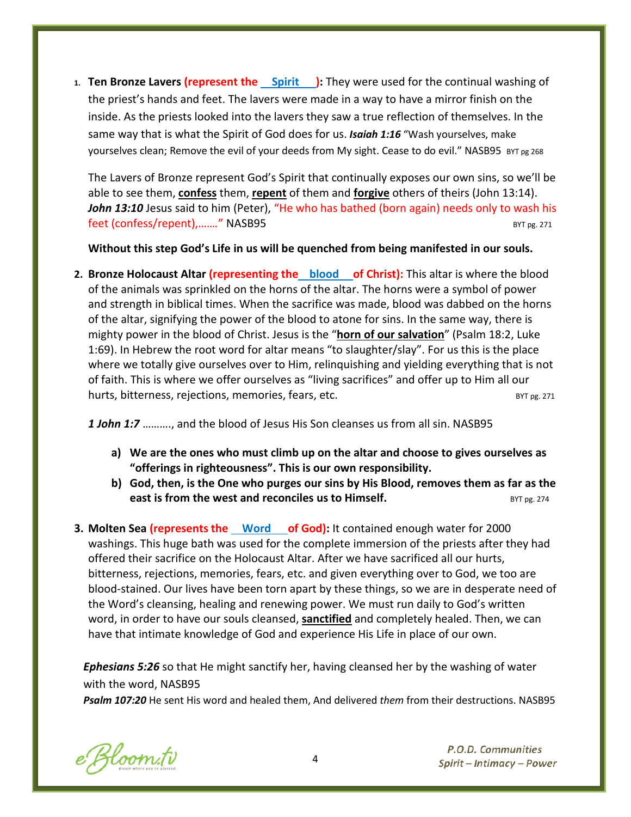**1. Ten Bronze Lavers (represent the Spirit ):** They were used for the continual washing of the priest's hands and feet. The lavers were made in a way to have a mirror finish on the inside. As the priests looked into the lavers they saw a true reflection of themselves. In the same way that is what the Spirit of God does for us. *Isaiah 1:16* "Wash yourselves, make yourselves clean; Remove the evil of your deeds from My sight. Cease to do evil." NASB95 BYT pg 268

The Lavers of Bronze represent God's Spirit that continually exposes our own sins, so we'll be able to see them, **confess** them, **repent** of them and **forgive** others of theirs (John 13:14). *John 13:10* Jesus said to him (Peter), "He who has bathed (born again) needs only to wash his feet (confess/repent),......." NASB95 BYT pg. 271

**Without this step God's Life in us will be quenched from being manifested in our souls.**

**2. Bronze Holocaust Altar (representing the blood of Christ):** This altar is where the blood of the animals was sprinkled on the horns of the altar. The horns were a symbol of power and strength in biblical times. When the sacrifice was made, blood was dabbed on the horns of the altar, signifying the power of the blood to atone for sins. In the same way, there is mighty power in the blood of Christ. Jesus is the "**horn of our salvation**" (Psalm 18:2, Luke 1:69). In Hebrew the root word for altar means "to slaughter/slay". For us this is the place where we totally give ourselves over to Him, relinquishing and yielding everything that is not of faith. This is where we offer ourselves as "living sacrifices" and offer up to Him all our hurts, bitterness, rejections, memories, fears, etc. BYT pg. 271 BYT pg. 271

*1 John 1:7* ………., and the blood of Jesus His Son cleanses us from all sin. NASB95

- **a) We are the ones who must climb up on the altar and choose to gives ourselves as "offerings in righteousness". This is our own responsibility.**
- **b) God, then, is the One who purges our sins by His Blood, removes them as far as the east is from the west and reconciles us to Himself. BYT pg. 274** BYT pg. 274
- **3. Molten Sea (represents the Word of God):** It contained enough water for 2000 washings. This huge bath was used for the complete immersion of the priests after they had offered their sacrifice on the Holocaust Altar. After we have sacrificed all our hurts, bitterness, rejections, memories, fears, etc. and given everything over to God, we too are blood-stained. Our lives have been torn apart by these things, so we are in desperate need of the Word's cleansing, healing and renewing power. We must run daily to God's written word, in order to have our souls cleansed, **sanctified** and completely healed. Then, we can have that intimate knowledge of God and experience His Life in place of our own.

*Ephesians 5:26* so that He might sanctify her, having cleansed her by the washing of water with the word, NASB95

*Psalm 107:20* He sent His word and healed them, And delivered *them* from their destructions. NASB95

e Bloom.tv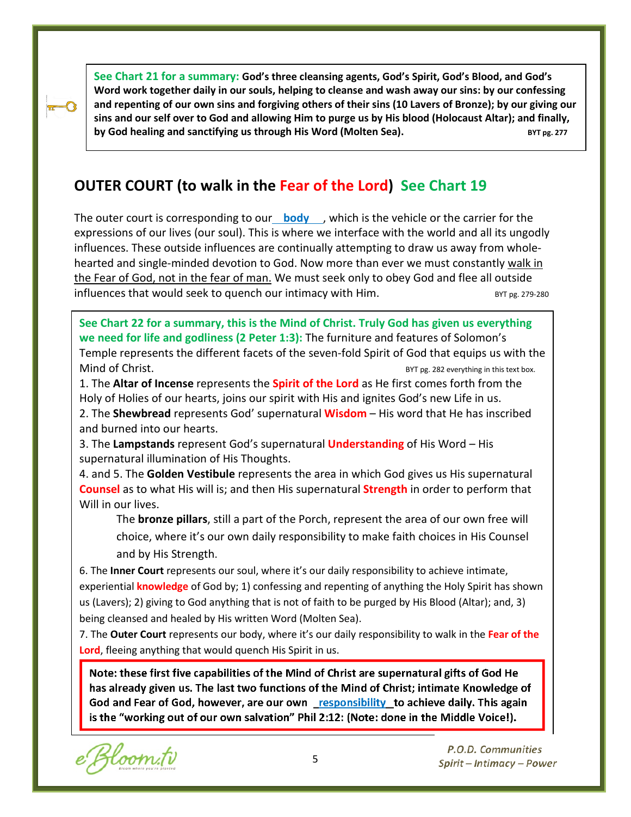**See Chart 21 for a summary: God's three cleansing agents, God's Spirit, God's Blood, and God's Word work together daily in our souls, helping to cleanse and wash away our sins: by our confessing and repenting of our own sins and forgiving others of their sins (10 Lavers of Bronze); by our giving our sins and our self over to God and allowing Him to purge us by His blood (Holocaust Altar); and finally, by God healing and sanctifying us through His Word (Molten Sea).** By the same that the same strugger and the strugger

## **OUTER COURT (to walk in the Fear of the Lord) See Chart 19**

The outer court is corresponding to our**body**, which is the vehicle or the carrier for the expressions of our lives (our soul). This is where we interface with the world and all its ungodly influences. These outside influences are continually attempting to draw us away from wholehearted and single-minded devotion to God. Now more than ever we must constantly walk in the Fear of God, not in the fear of man. We must seek only to obey God and flee all outside influences that would seek to quench our intimacy with Him.  $BYT_{PL}$  BYT pg. 279-280

**See Chart 22 for a summary, this is the Mind of Christ. Truly God has given us everything we need for life and godliness (2 Peter 1:3):** The furniture and features of Solomon's Temple represents the different facets of the seven-fold Spirit of God that equips us with the Mind of Christ. By a state of the state of the state of the BYT pg. 282 everything in this text box.

1. The **Altar of Incense** represents the **Spirit of the Lord** as He first comes forth from the Holy of Holies of our hearts, joins our spirit with His and ignites God's new Life in us.

2. The **Shewbread** represents God' supernatural **Wisdom** – His word that He has inscribed and burned into our hearts.

3. The **Lampstands** represent God's supernatural **Understanding** of His Word – His supernatural illumination of His Thoughts.

4. and 5. The **Golden Vestibule** represents the area in which God gives us His supernatural **Counsel** as to what His will is; and then His supernatural **Strength** in order to perform that Will in our lives.

The **bronze pillars**, still a part of the Porch, represent the area of our own free will choice, where it's our own daily responsibility to make faith choices in His Counsel and by His Strength.

6. The **Inner Court** represents our soul, where it's our daily responsibility to achieve intimate, experiential **knowledge** of God by; 1) confessing and repenting of anything the Holy Spirit has shown us (Lavers); 2) giving to God anything that is not of faith to be purged by His Blood (Altar); and, 3) being cleansed and healed by His written Word (Molten Sea).

7. The **Outer Court** represents our body, where it's our daily responsibility to walk in the **Fear of the Lord**, fleeing anything that would quench His Spirit in us.

Note: these first five capabilities of the Mind of Christ are supernatural gifts of God He has already given us. The last two functions of the Mind of Christ; intimate Knowledge of God and Fear of God, however, are our own responsibility to achieve daily. This again is the "working out of our own salvation" Phil 2:12: (Note: done in the Middle Voice!).

e Bloom.ti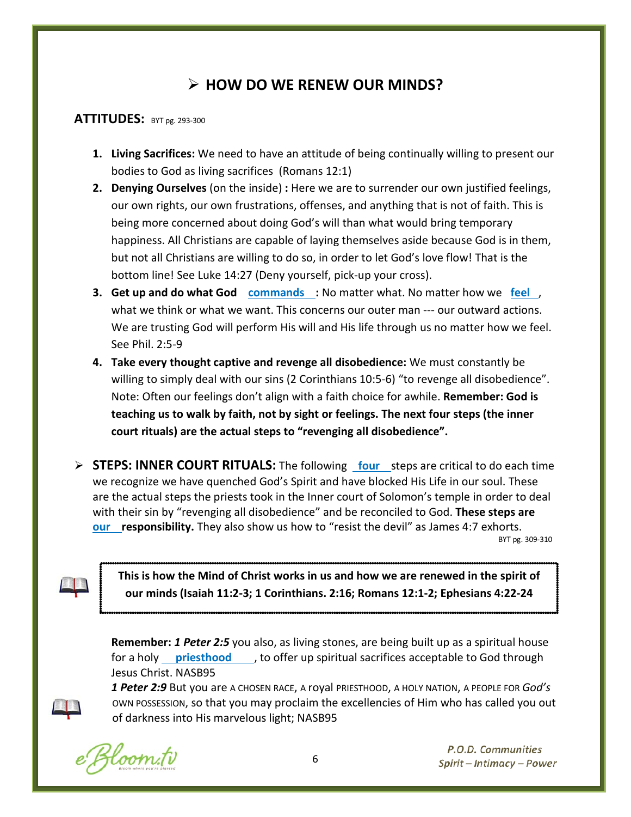## **HOW DO WE RENEW OUR MINDS?**

#### **ATTITUDES:** BYT pg. 293-300

- **1. Living Sacrifices:** We need to have an attitude of being continually willing to present our bodies to God as living sacrifices (Romans 12:1)
- **2. Denying Ourselves** (on the inside) **:** Here we are to surrender our own justified feelings, our own rights, our own frustrations, offenses, and anything that is not of faith. This is being more concerned about doing God's will than what would bring temporary happiness. All Christians are capable of laying themselves aside because God is in them, but not all Christians are willing to do so, in order to let God's love flow! That is the bottom line! See Luke 14:27 (Deny yourself, pick-up your cross).
- **3. Get up and do what God commands :** No matter what. No matter how we **feel** , what we think or what we want. This concerns our outer man --- our outward actions. We are trusting God will perform His will and His life through us no matter how we feel. See Phil. 2:5-9
- **4. Take every thought captive and revenge all disobedience:** We must constantly be willing to simply deal with our sins (2 Corinthians 10:5-6) "to revenge all disobedience". Note: Often our feelings don't align with a faith choice for awhile. **Remember: God is teaching us to walk by faith, not by sight or feelings. The next four steps (the inner court rituals) are the actual steps to "revenging all disobedience".**
- **STEPS: INNER COURT RITUALS:** The following **four** steps are critical to do each time we recognize we have quenched God's Spirit and have blocked His Life in our soul. These are the actual steps the priests took in the Inner court of Solomon's temple in order to deal with their sin by "revenging all disobedience" and be reconciled to God. **These steps are our responsibility.** They also show us how to "resist the devil" as James 4:7 exhorts.<br>BYT pg. 309-310

**This is how the Mind of Christ works in us and how we are renewed in the spirit of our minds (Isaiah 11:2-3; 1 Corinthians. 2:16; Romans 12:1-2; Ephesians 4:22-24**

**Remember:** *1 Peter 2:5* you also, as living stones, are being built up as a spiritual house for a holy **priesthood**, to offer up spiritual sacrifices acceptable to God through Jesus Christ. NASB95

*1 Peter 2:9* But you are A CHOSEN RACE, A royal PRIESTHOOD, A HOLY NATION, A PEOPLE FOR *God's* OWN POSSESSION, so that you may proclaim the excellencies of Him who has called you out of darkness into His marvelous light; NASB95

Hoom.tv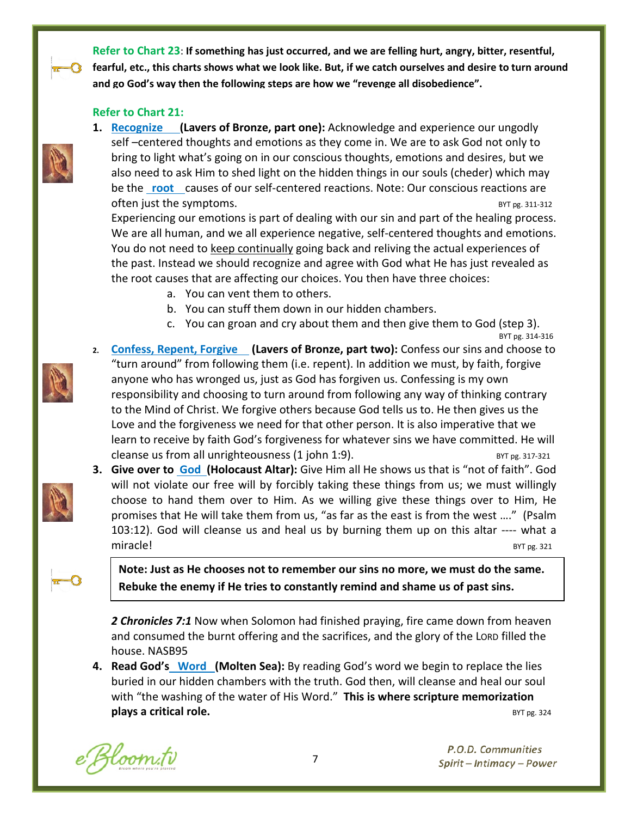**Refer to Chart 23**: **If something has just occurred, and we are felling hurt, angry, bitter, resentful, fearful, etc., this charts shows what we look like. But, if we catch ourselves and desire to turn around and go God's way then the following steps are how we "revenge all disobedience".**

#### **Refer to Chart 21:**

**1. Recognize (Lavers of Bronze, part one):** Acknowledge and experience our ungodly self –centered thoughts and emotions as they come in. We are to ask God not only to bring to light what's going on in our conscious thoughts, emotions and desires, but we also need to ask Him to shed light on the hidden things in our souls (cheder) which may be the **root** causes of our self-centered reactions. Note: Our conscious reactions are often just the symptoms.  $BYT \text{ } pg. 311-312$ 

Experiencing our emotions is part of dealing with our sin and part of the healing process. We are all human, and we all experience negative, self-centered thoughts and emotions. You do not need to keep continually going back and reliving the actual experiences of the past. Instead we should recognize and agree with God what He has just revealed as the root causes that are affecting our choices. You then have three choices:

- a. You can vent them to others.
- b. You can stuff them down in our hidden chambers.
- c. You can groan and cry about them and then give them to God (step 3).<br>BYT pg. 314-316

- **2. Confess, Repent, Forgive (Lavers of Bronze, part two):** Confess our sins and choose to "turn around" from following them (i.e. repent). In addition we must, by faith, forgive anyone who has wronged us, just as God has forgiven us. Confessing is my own responsibility and choosing to turn around from following any way of thinking contrary to the Mind of Christ. We forgive others because God tells us to. He then gives us the Love and the forgiveness we need for that other person. It is also imperative that we learn to receive by faith God's forgiveness for whatever sins we have committed. He will cleanse us from all unrighteousness  $(1$  john 1:9). BYT  $p_g$ . 317-321
- 

**3. Give over to God (Holocaust Altar):** Give Him all He shows us that is "not of faith". God will not violate our free will by forcibly taking these things from us; we must willingly choose to hand them over to Him. As we willing give these things over to Him, He promises that He will take them from us, "as far as the east is from the west …." (Psalm 103:12). God will cleanse us and heal us by burning them up on this altar ---- what a miracle! BYT pg. 321

**Note: Just as He chooses not to remember our sins no more, we must do the same. Rebuke the enemy if He tries to constantly remind and shame us of past sins.**

*2 Chronicles 7:1* Now when Solomon had finished praying, fire came down from heaven and consumed the burnt offering and the sacrifices, and the glory of the LORD filled the house. NASB95

**4. Read God's Word (Molten Sea):** By reading God's word we begin to replace the lies buried in our hidden chambers with the truth. God then, will cleanse and heal our soul with "the washing of the water of His Word." **This is where scripture memorization plays a critical role. BYT pg. 324** 

e Bloom.tv

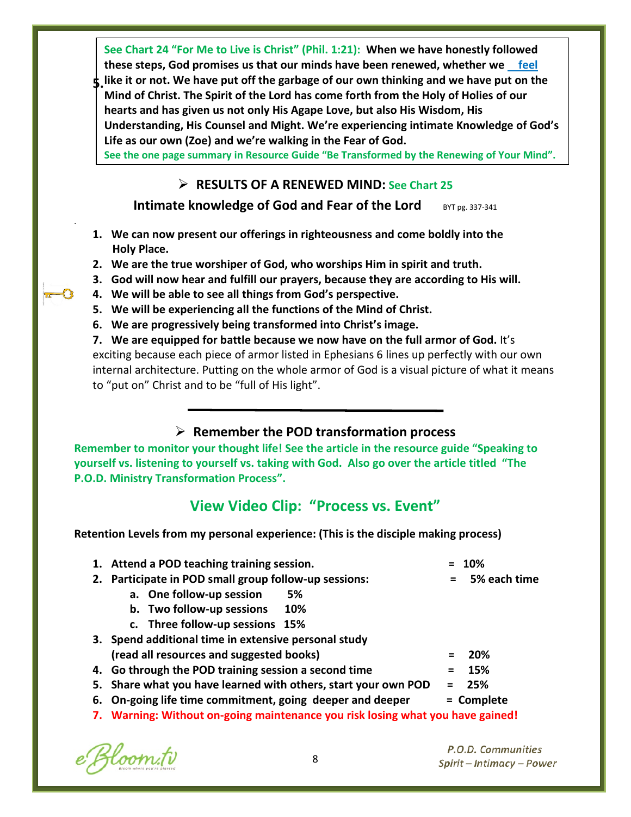**See Chart 24 "For Me to Live is Christ" (Phil. 1:21): When we have honestly followed these steps, God promises us that our minds have been renewed, whether we feel like it or not. We have put off the garbage of our own thinking and we have put on the 5. Mind of Christ. The Spirit of the Lord has come forth from the Holy of Holies of our hearts and has given us not only His Agape Love, but also His Wisdom, His Understanding, His Counsel and Might. We're experiencing intimate Knowledge of God's Life as our own (Zoe) and we're walking in the Fear of God.** 

**See the one page summary in Resource Guide "Be Transformed by the Renewing of Your Mind".**

#### **RESULTS OF A RENEWED MIND: See Chart 25**

**Intimate knowledge of God and Fear of the Lord** BYT pg. 337-341

- **1. We can now present our offerings in righteousness and come boldly into the Holy Place.**
- **2. We are the true worshiper of God, who worships Him in spirit and truth.**
- **3. God will now hear and fulfill our prayers, because they are according to His will.**
- **4. We will be able to see all things from God's perspective.**
- **5. We will be experiencing all the functions of the Mind of Christ.**
- **6. We are progressively being transformed into Christ's image.**

**7. We are equipped for battle because we now have on the full armor of God.** It's exciting because each piece of armor listed in Ephesians 6 lines up perfectly with our own internal architecture. Putting on the whole armor of God is a visual picture of what it means to "put on" Christ and to be "full of His light".

#### **Remember the POD transformation process**

**Remember to monitor your thought life! See the article in the resource guide "Speaking to yourself vs. listening to yourself vs. taking with God. Also go over the article titled "The P.O.D. Ministry Transformation Process".**

### **View Video Clip: "Process vs. Event"**

**Retention Levels from my personal experience: (This is the disciple making process)**

|    | 1. Attend a POD teaching training session.                                     |         | 10%          |
|----|--------------------------------------------------------------------------------|---------|--------------|
| 2. | Participate in POD small group follow-up sessions:                             |         | 5% each time |
|    | a. One follow-up session<br>5%                                                 |         |              |
|    | b. Two follow-up sessions<br>10%                                               |         |              |
|    | c. Three follow-up sessions 15%                                                |         |              |
|    | 3. Spend additional time in extensive personal study                           |         |              |
|    | (read all resources and suggested books)                                       |         | <b>20%</b>   |
|    | 4. Go through the POD training session a second time                           |         | 15%          |
|    | 5. Share what you have learned with others, start your own POD                 | $=$ $-$ | 25%          |
|    | 6. On-going life time commitment, going deeper and deeper                      |         | = Complete   |
|    | 7. Warning: Without on-going maintenance you risk losing what you have gained! |         |              |

e Bloom.tv

.